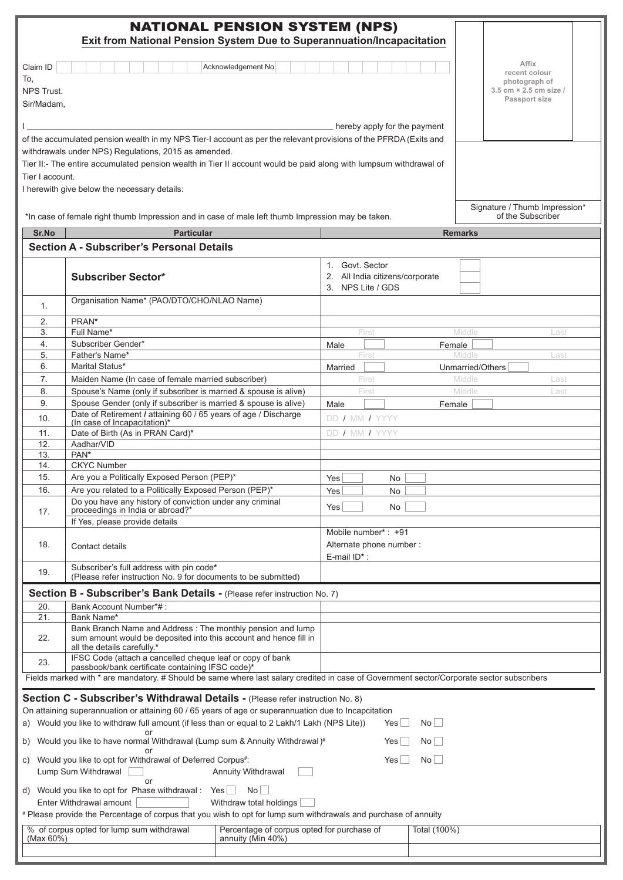| <b>NATIONAL PENSION SYSTEM (NPS)</b><br>Exit from National Pension System Due to Superannuation/Incapacitation                                                                                                                                                                                                                                                    |                                                                                                                                                                |  |                                                                         |        |                                                                   |  |
|-------------------------------------------------------------------------------------------------------------------------------------------------------------------------------------------------------------------------------------------------------------------------------------------------------------------------------------------------------------------|----------------------------------------------------------------------------------------------------------------------------------------------------------------|--|-------------------------------------------------------------------------|--------|-------------------------------------------------------------------|--|
| Acknowledgement No<br>Claim ID<br>To,<br>NPS Trust.                                                                                                                                                                                                                                                                                                               |                                                                                                                                                                |  |                                                                         |        | Affix<br>recent colour<br>photograph of<br>3.5 cm × 2.5 cm size / |  |
| Sir/Madam,                                                                                                                                                                                                                                                                                                                                                        |                                                                                                                                                                |  |                                                                         |        | Passport size                                                     |  |
| hereby apply for the payment                                                                                                                                                                                                                                                                                                                                      |                                                                                                                                                                |  |                                                                         |        |                                                                   |  |
| of the accumulated pension wealth in my NPS Tier-I account as per the relevant provisions of the PFRDA (Exits and<br>withdrawals under NPS) Regulations, 2015 as amended.<br>Tier II:- The entire accumulated pension wealth in Tier II account would be paid along with lumpsum withdrawal of<br>Tier I account.<br>I herewith give below the necessary details: |                                                                                                                                                                |  |                                                                         |        |                                                                   |  |
|                                                                                                                                                                                                                                                                                                                                                                   | *In case of female right thumb Impression and in case of male left thumb Impression may be taken.                                                              |  |                                                                         |        | Signature / Thumb Impression*<br>of the Subscriber                |  |
| Sr.No                                                                                                                                                                                                                                                                                                                                                             | <b>Particular</b>                                                                                                                                              |  |                                                                         |        | <b>Remarks</b>                                                    |  |
|                                                                                                                                                                                                                                                                                                                                                                   | <b>Section A - Subscriber's Personal Details</b>                                                                                                               |  |                                                                         |        |                                                                   |  |
|                                                                                                                                                                                                                                                                                                                                                                   | <b>Subscriber Sector*</b>                                                                                                                                      |  | 1. Govt. Sector<br>2. All India citizens/corporate<br>3. NPS Lite / GDS |        |                                                                   |  |
| 1.                                                                                                                                                                                                                                                                                                                                                                | Organisation Name* (PAO/DTO/CHO/NLAO Name)                                                                                                                     |  |                                                                         |        |                                                                   |  |
| 2.                                                                                                                                                                                                                                                                                                                                                                | PRAN*                                                                                                                                                          |  |                                                                         |        |                                                                   |  |
| 3.<br>4.                                                                                                                                                                                                                                                                                                                                                          | Full Name*<br>Subscriber Gender*                                                                                                                               |  | First                                                                   |        | Middle<br>Last                                                    |  |
| 5.                                                                                                                                                                                                                                                                                                                                                                | Father's Name*                                                                                                                                                 |  | Male<br>First                                                           | Female | Middle<br>Last                                                    |  |
| 6.                                                                                                                                                                                                                                                                                                                                                                | Marital Status*                                                                                                                                                |  | Married                                                                 |        | Unmarried/Others                                                  |  |
| 7.                                                                                                                                                                                                                                                                                                                                                                | Maiden Name (In case of female married subscriber)                                                                                                             |  | First                                                                   |        | Middle<br>Last                                                    |  |
| 8.<br>9.                                                                                                                                                                                                                                                                                                                                                          | Spouse's Name (only if subscriber is married & spouse is alive)<br>Spouse Gender (only if subscriber is married & spouse is alive)                             |  | First                                                                   |        | Middle<br>Last                                                    |  |
| 10.                                                                                                                                                                                                                                                                                                                                                               | Date of Retirement / attaining 60 / 65 years of age / Discharge                                                                                                |  | Male<br>DD / MM / YYYY                                                  | Female |                                                                   |  |
| 11.                                                                                                                                                                                                                                                                                                                                                               | (In case of Incapacitation)*<br>Date of Birth (As in PRAN Card)*                                                                                               |  | DD / MM / YYYY                                                          |        |                                                                   |  |
| 12.                                                                                                                                                                                                                                                                                                                                                               | Aadhar/VID                                                                                                                                                     |  |                                                                         |        |                                                                   |  |
| 13.                                                                                                                                                                                                                                                                                                                                                               | PAN*                                                                                                                                                           |  |                                                                         |        |                                                                   |  |
| 14.<br>15.                                                                                                                                                                                                                                                                                                                                                        | <b>CKYC Number</b><br>Are you a Politically Exposed Person (PEP)*                                                                                              |  | Yes                                                                     |        |                                                                   |  |
| 16.                                                                                                                                                                                                                                                                                                                                                               | Are you related to a Politically Exposed Person (PEP)*                                                                                                         |  | No.<br>Yes<br>No                                                        |        |                                                                   |  |
|                                                                                                                                                                                                                                                                                                                                                                   | Do you have any history of conviction under any criminal                                                                                                       |  | Yes<br>No                                                               |        |                                                                   |  |
| 17.                                                                                                                                                                                                                                                                                                                                                               | proceedings in India or abroad?*<br>If Yes, please provide details                                                                                             |  |                                                                         |        |                                                                   |  |
| 18.                                                                                                                                                                                                                                                                                                                                                               | Contact details                                                                                                                                                |  | Mobile number*: +91<br>Alternate phone number :<br>E-mail ID*:          |        |                                                                   |  |
| 19.                                                                                                                                                                                                                                                                                                                                                               | Subscriber's full address with pin code*<br>(Please refer instruction No. 9 for documents to be submitted)                                                     |  |                                                                         |        |                                                                   |  |
|                                                                                                                                                                                                                                                                                                                                                                   | Section B - Subscriber's Bank Details - (Please refer instruction No. 7)                                                                                       |  |                                                                         |        |                                                                   |  |
| 20.<br>21.                                                                                                                                                                                                                                                                                                                                                        | Bank Account Number*#:<br>Bank Name*                                                                                                                           |  |                                                                         |        |                                                                   |  |
| 22.                                                                                                                                                                                                                                                                                                                                                               | Bank Branch Name and Address: The monthly pension and lump<br>sum amount would be deposited into this account and hence fill in<br>all the details carefully.* |  |                                                                         |        |                                                                   |  |
| 23.                                                                                                                                                                                                                                                                                                                                                               | IFSC Code (attach a cancelled cheque leaf or copy of bank                                                                                                      |  |                                                                         |        |                                                                   |  |
| passbook/bank certificate containing IFSC code)*<br>Fields marked with * are mandatory. # Should be same where last salary credited in case of Government sector/Corporate sector subscribers                                                                                                                                                                     |                                                                                                                                                                |  |                                                                         |        |                                                                   |  |
|                                                                                                                                                                                                                                                                                                                                                                   |                                                                                                                                                                |  |                                                                         |        |                                                                   |  |
| Section C - Subscriber's Withdrawal Details - (Please refer instruction No. 8)<br>On attaining superannuation or attaining 60 / 65 years of age or superannuation due to Incapcitation                                                                                                                                                                            |                                                                                                                                                                |  |                                                                         |        |                                                                   |  |
| a) Would you like to withdraw full amount (if less than or equal to 2 Lakh/1 Lakh (NPS Lite))<br>No<br>Yes                                                                                                                                                                                                                                                        |                                                                                                                                                                |  |                                                                         |        |                                                                   |  |
| or<br>b) Would you like to have normal Withdrawal (Lump sum & Annuity Withdrawal)#<br>No l<br>Yesl                                                                                                                                                                                                                                                                |                                                                                                                                                                |  |                                                                         |        |                                                                   |  |
| c) Would you like to opt for Withdrawal of Deferred Corpus#:<br>Yes<br>No l<br>Lump Sum Withdrawal<br>Annuity Withdrawal                                                                                                                                                                                                                                          |                                                                                                                                                                |  |                                                                         |        |                                                                   |  |
| or<br>d) Would you like to opt for Phase withdrawal : Yes $\Box$<br>No<br>Enter Withdrawal amount<br>Withdraw total holdings                                                                                                                                                                                                                                      |                                                                                                                                                                |  |                                                                         |        |                                                                   |  |
| # Please provide the Percentage of corpus that you wish to opt for lump sum withdrawals and purchase of annuity                                                                                                                                                                                                                                                   |                                                                                                                                                                |  |                                                                         |        |                                                                   |  |
| % of corpus opted for lump sum withdrawal<br>Percentage of corpus opted for purchase of<br>Total (100%)<br>(Max 60%)<br>annuity (Min 40%)                                                                                                                                                                                                                         |                                                                                                                                                                |  |                                                                         |        |                                                                   |  |
|                                                                                                                                                                                                                                                                                                                                                                   |                                                                                                                                                                |  |                                                                         |        |                                                                   |  |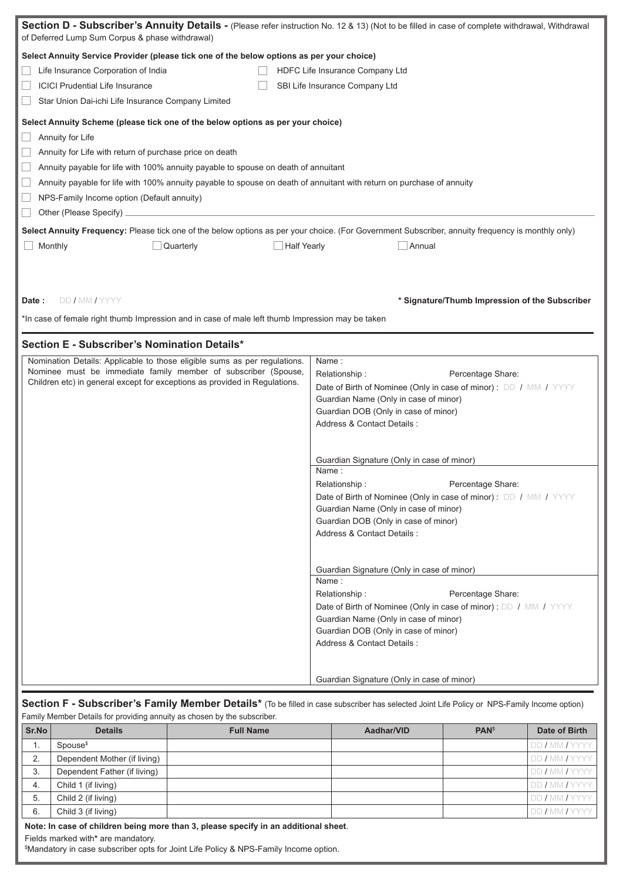| Section D - Subscriber's Annuity Details - (Please refer instruction No. 12 & 13) (Not to be filled in case of complete withdrawal, Withdrawal<br>of Deferred Lump Sum Corpus & phase withdrawal)                                                                                                                                                                                                                                                                                                                                                                                                                                                                                         |                                                                                                                                                                                                                                                                                                                                                                                                                                                                                                                                                                                                                                                                                                                                                                                                                                                   |  |  |  |  |
|-------------------------------------------------------------------------------------------------------------------------------------------------------------------------------------------------------------------------------------------------------------------------------------------------------------------------------------------------------------------------------------------------------------------------------------------------------------------------------------------------------------------------------------------------------------------------------------------------------------------------------------------------------------------------------------------|---------------------------------------------------------------------------------------------------------------------------------------------------------------------------------------------------------------------------------------------------------------------------------------------------------------------------------------------------------------------------------------------------------------------------------------------------------------------------------------------------------------------------------------------------------------------------------------------------------------------------------------------------------------------------------------------------------------------------------------------------------------------------------------------------------------------------------------------------|--|--|--|--|
| Select Annuity Service Provider (please tick one of the below options as per your choice)<br>Life Insurance Corporation of India<br>HDFC Life Insurance Company Ltd<br><b>ICICI Prudential Life Insurance</b><br>SBI Life Insurance Company Ltd<br>Star Union Dai-ichi Life Insurance Company Limited                                                                                                                                                                                                                                                                                                                                                                                     |                                                                                                                                                                                                                                                                                                                                                                                                                                                                                                                                                                                                                                                                                                                                                                                                                                                   |  |  |  |  |
| Select Annuity Scheme (please tick one of the below options as per your choice)<br>Annuity for Life<br>Annuity for Life with return of purchase price on death<br>$\overline{\phantom{a}}$<br>Annuity payable for life with 100% annuity payable to spouse on death of annuitant<br>Annuity payable for life with 100% annuity payable to spouse on death of annuitant with return on purchase of annuity<br>NPS-Family Income option (Default annuity)<br>Other (Please Specify) _<br>Select Annuity Frequency: Please tick one of the below options as per your choice. (For Government Subscriber, annuity frequency is monthly only)<br>Half Yearly<br>Monthly<br>Quarterly<br>Annual |                                                                                                                                                                                                                                                                                                                                                                                                                                                                                                                                                                                                                                                                                                                                                                                                                                                   |  |  |  |  |
| DD / MM / YYYY<br>* Signature/Thumb Impression of the Subscriber<br>Date:<br>*In case of female right thumb Impression and in case of male left thumb Impression may be taken                                                                                                                                                                                                                                                                                                                                                                                                                                                                                                             |                                                                                                                                                                                                                                                                                                                                                                                                                                                                                                                                                                                                                                                                                                                                                                                                                                                   |  |  |  |  |
| Section E - Subscriber's Nomination Details*<br>Nomination Details: Applicable to those eligible sums as per regulations.<br>Nominee must be immediate family member of subscriber (Spouse,<br>Children etc) in general except for exceptions as provided in Regulations.                                                                                                                                                                                                                                                                                                                                                                                                                 | Name:<br>Relationship:<br>Percentage Share:<br>Date of Birth of Nominee (Only in case of minor) : DD / MM / YYYY<br>Guardian Name (Only in case of minor)<br>Guardian DOB (Only in case of minor)<br>Address & Contact Details:<br>Guardian Signature (Only in case of minor)<br>Name:<br>Relationship:<br>Percentage Share:<br>Date of Birth of Nominee (Only in case of minor) : DD / MM / YYYY<br>Guardian Name (Only in case of minor)<br>Guardian DOB (Only in case of minor)<br>Address & Contact Details :<br>Guardian Signature (Only in case of minor)<br>Name:<br>Relationship:<br>Percentage Share:<br>Date of Birth of Nominee (Only in case of minor) : DD / MM / YYYY<br>Guardian Name (Only in case of minor)<br>Guardian DOB (Only in case of minor)<br>Address & Contact Details :<br>Guardian Signature (Only in case of minor) |  |  |  |  |
|                                                                                                                                                                                                                                                                                                                                                                                                                                                                                                                                                                                                                                                                                           |                                                                                                                                                                                                                                                                                                                                                                                                                                                                                                                                                                                                                                                                                                                                                                                                                                                   |  |  |  |  |

# Section F - Subscriber's Family Member Details<sup>\*</sup> (To be filled in case subscriber has selected Joint Life Policy or NPS-Family Income option) Family Member Details for providing annuity as chosen by the subscriber.

| Sr.No                                                                             | <b>Details</b>               | <b>Full Name</b> | Aadhar/VID | <b>PAN</b> <sup>\$</sup> | Date of Birth          |
|-----------------------------------------------------------------------------------|------------------------------|------------------|------------|--------------------------|------------------------|
| Ι.                                                                                | Spouse <sup>\$</sup>         |                  |            |                          | <b>IDD / MM / YYYY</b> |
| 2.                                                                                | Dependent Mother (if living) |                  |            |                          | <b>IDD/MM/YYYY</b>     |
| 3.                                                                                | Dependent Father (if living) |                  |            |                          | <b>IDD/MM/YYYY</b>     |
| -4.                                                                               | Child 1 (if living)          |                  |            |                          | <b>IDD/MM/YYYY</b>     |
| 5.                                                                                | Child 2 (if living)          |                  |            |                          | <b>IDD / MM / YYYY</b> |
| 6.                                                                                | Child 3 (if living)          |                  |            |                          | <b>DD / MM / YYYY</b>  |
| Note: In case of children being more than 3 please specify in an additional sheet |                              |                  |            |                          |                        |

**Note: In case of children being more than 3, please specify in an additional sheet**.

Fields marked with**\*** are mandatory.

\$ Mandatory in case subscriber opts for Joint Life Policy & NPS-Family Income option.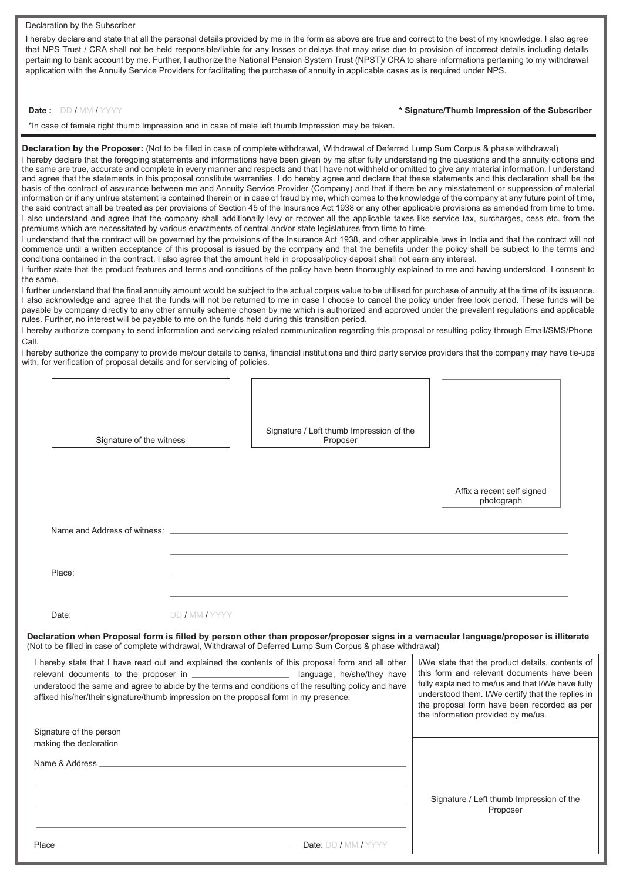#### Declaration by the Subscriber

I hereby declare and state that all the personal details provided by me in the form as above are true and correct to the best of my knowledge. I also agree that NPS Trust / CRA shall not be held responsible/liable for any losses or delays that may arise due to provision of incorrect details including details pertaining to bank account by me. Further, I authorize the National Pension System Trust (NPST)/ CRA to share informations pertaining to my withdrawal application with the Annuity Service Providers for facilitating the purchase of annuity in applicable cases as is required under NPS.

#### **Date :** DD / MM / YYYY

\*In case of female right thumb Impression and in case of male left thumb Impression may be taken.

**Declaration by the Proposer:** (Not to be filled in case of complete withdrawal, Withdrawal of Deferred Lump Sum Corpus & phase withdrawal)

I hereby declare that the foregoing statements and informations have been given by me after fully understanding the questions and the annuity options and the same are true, accurate and complete in every manner and respects and that I have not withheld or omitted to give any material information. I understand and agree that the statements in this proposal constitute warranties. I do hereby agree and declare that these statements and this declaration shall be the basis of the contract of assurance between me and Annuity Service Provider (Company) and that if there be any misstatement or suppression of material information or if any untrue statement is contained therein or in case of fraud by me, which comes to the knowledge of the company at any future point of time, the said contract shall be treated as per provisions of Section 45 of the Insurance Act 1938 or any other applicable provisions as amended from time to time. I also understand and agree that the company shall additionally levy or recover all the applicable taxes like service tax, surcharges, cess etc. from the premiums which are necessitated by various enactments of central and/or state legislatures from time to time.

I understand that the contract will be governed by the provisions of the Insurance Act 1938, and other applicable laws in India and that the contract will not commence until a written acceptance of this proposal is issued by the company and that the benefits under the policy shall be subject to the terms and conditions contained in the contract. I also agree that the amount held in proposal/policy deposit shall not earn any interest.

I further state that the product features and terms and conditions of the policy have been thoroughly explained to me and having understood, I consent to the same.

I further understand that the final annuity amount would be subject to the actual corpus value to be utilised for purchase of annuity at the time of its issuance. I also acknowledge and agree that the funds will not be returned to me in case I choose to cancel the policy under free look period. These funds will be payable by company directly to any other annuity scheme chosen by me which is authorized and approved under the prevalent regulations and applicable rules. Further, no interest will be payable to me on the funds held during this transition period.

I hereby authorize company to send information and servicing related communication regarding this proposal or resulting policy through Email/SMS/Phone Call.

I hereby authorize the company to provide me/our details to banks, financial institutions and third party service providers that the company may have tie-ups with, for verification of proposal details and for servicing of policies.

| Signature of the witness                                                                                                                   |                | Signature / Left thumb Impression of the<br>Proposer                                                                                                                                                                                                                                                                      |                                                                                                                                                                                                                                                                                                                                                                                                                                                          |
|--------------------------------------------------------------------------------------------------------------------------------------------|----------------|---------------------------------------------------------------------------------------------------------------------------------------------------------------------------------------------------------------------------------------------------------------------------------------------------------------------------|----------------------------------------------------------------------------------------------------------------------------------------------------------------------------------------------------------------------------------------------------------------------------------------------------------------------------------------------------------------------------------------------------------------------------------------------------------|
|                                                                                                                                            |                |                                                                                                                                                                                                                                                                                                                           | Affix a recent self signed<br>photograph                                                                                                                                                                                                                                                                                                                                                                                                                 |
| Name and Address of witness: _                                                                                                             |                |                                                                                                                                                                                                                                                                                                                           |                                                                                                                                                                                                                                                                                                                                                                                                                                                          |
| Place:                                                                                                                                     |                |                                                                                                                                                                                                                                                                                                                           |                                                                                                                                                                                                                                                                                                                                                                                                                                                          |
| Date:                                                                                                                                      | DD / MM / YYYY |                                                                                                                                                                                                                                                                                                                           |                                                                                                                                                                                                                                                                                                                                                                                                                                                          |
|                                                                                                                                            |                |                                                                                                                                                                                                                                                                                                                           |                                                                                                                                                                                                                                                                                                                                                                                                                                                          |
|                                                                                                                                            |                | (Not to be filled in case of complete withdrawal, Withdrawal of Deferred Lump Sum Corpus & phase withdrawal)<br>I hereby state that I have read out and explained the contents of this proposal form and all other<br>understood the same and agree to abide by the terms and conditions of the resulting policy and have | the information provided by me/us.                                                                                                                                                                                                                                                                                                                                                                                                                       |
|                                                                                                                                            |                |                                                                                                                                                                                                                                                                                                                           |                                                                                                                                                                                                                                                                                                                                                                                                                                                          |
|                                                                                                                                            |                |                                                                                                                                                                                                                                                                                                                           |                                                                                                                                                                                                                                                                                                                                                                                                                                                          |
| affixed his/her/their signature/thumb impression on the proposal form in my presence.<br>Signature of the person<br>making the declaration |                |                                                                                                                                                                                                                                                                                                                           | Declaration when Proposal form is filled by person other than proposer/proposer signs in a vernacular language/proposer is illiterate<br>I/We state that the product details, contents of<br>this form and relevant documents have been<br>fully explained to me/us and that I/We have fully<br>understood them. I/We certify that the replies in<br>the proposal form have been recorded as per<br>Signature / Left thumb Impression of the<br>Proposer |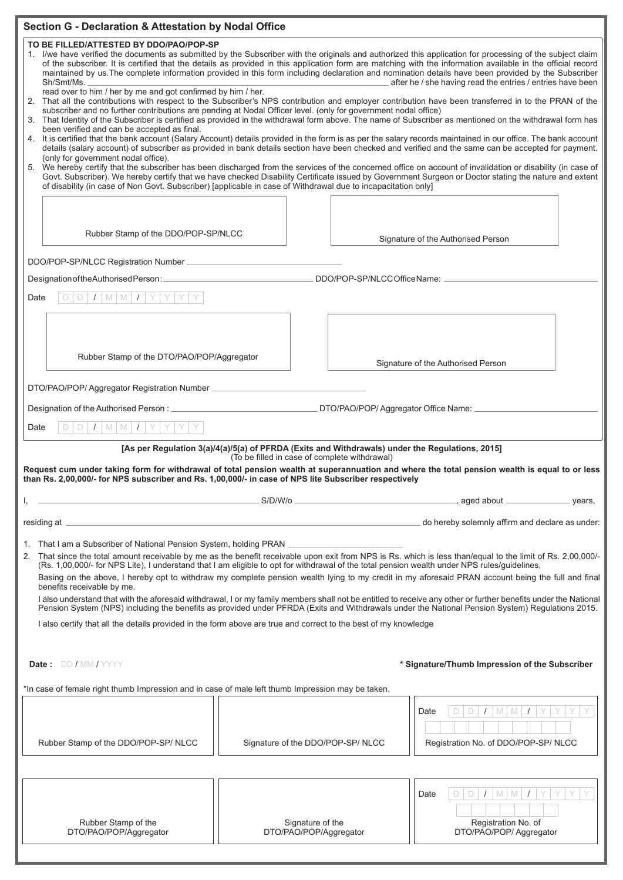| <b>Section G - Declaration &amp; Attestation by Nodal Office</b>                                                                                                                                                                                                                                                                                                                                                                                                                                                                                                                                                                                                                                                                                                                                                                                   |  |                                               |                                                                                                                                                                                                                                                  |  |  |  |
|----------------------------------------------------------------------------------------------------------------------------------------------------------------------------------------------------------------------------------------------------------------------------------------------------------------------------------------------------------------------------------------------------------------------------------------------------------------------------------------------------------------------------------------------------------------------------------------------------------------------------------------------------------------------------------------------------------------------------------------------------------------------------------------------------------------------------------------------------|--|-----------------------------------------------|--------------------------------------------------------------------------------------------------------------------------------------------------------------------------------------------------------------------------------------------------|--|--|--|
| TO BE FILLED/ATTESTED BY DDO/PAO/POP-SP<br>I/we have verified the documents as submitted by the Subscriber with the originals and authorized this application for processing of the subject claim<br>1.<br>of the subscriber. It is certified that the details as provided in this application form are matching with the information available in the official record<br>maintained by us. The complete information provided in this form including declaration and nomination details have been provided by the Subscriber<br>after he / she having read the entries / entries have been<br>Sh/Smt/Ms.<br>read over to him / her by me and got confirmed by him / her.                                                                                                                                                                           |  |                                               |                                                                                                                                                                                                                                                  |  |  |  |
| 2. That all the contributions with respect to the Subscriber's NPS contribution and employer contribution have been transferred in to the PRAN of the<br>subscriber and no further contributions are pending at Nodal Officer level. (only for government nodal office)<br>3. That Identity of the Subscriber is certified as provided in the withdrawal form above. The name of Subscriber as mentioned on the withdrawal form has<br>been verified and can be accepted as final.<br>4. It is certified that the bank account (Salary Account) details provided in the form is as per the salary records maintained in our office. The bank account<br>details (salary account) of subscriber as provided in bank details section have been checked and verified and the same can be accepted for payment.<br>(only for government nodal office). |  |                                               |                                                                                                                                                                                                                                                  |  |  |  |
| We hereby certify that the subscriber has been discharged from the services of the concerned office on account of invalidation or disability (in case of<br>5.<br>Govt. Subscriber). We hereby certify that we have checked Disability Certificate issued by Government Surgeon or Doctor stating the nature and extent<br>of disability (in case of Non Govt. Subscriber) [applicable in case of Withdrawal due to incapacitation only]                                                                                                                                                                                                                                                                                                                                                                                                           |  |                                               |                                                                                                                                                                                                                                                  |  |  |  |
| Rubber Stamp of the DDO/POP-SP/NLCC                                                                                                                                                                                                                                                                                                                                                                                                                                                                                                                                                                                                                                                                                                                                                                                                                |  |                                               | Signature of the Authorised Person                                                                                                                                                                                                               |  |  |  |
|                                                                                                                                                                                                                                                                                                                                                                                                                                                                                                                                                                                                                                                                                                                                                                                                                                                    |  |                                               |                                                                                                                                                                                                                                                  |  |  |  |
|                                                                                                                                                                                                                                                                                                                                                                                                                                                                                                                                                                                                                                                                                                                                                                                                                                                    |  |                                               | DDO/POP-SP/NLCCOfficeName:                                                                                                                                                                                                                       |  |  |  |
| $D$ $I$ $M$ $M$ $I$ $Y$ $Y$<br>Date                                                                                                                                                                                                                                                                                                                                                                                                                                                                                                                                                                                                                                                                                                                                                                                                                |  |                                               |                                                                                                                                                                                                                                                  |  |  |  |
|                                                                                                                                                                                                                                                                                                                                                                                                                                                                                                                                                                                                                                                                                                                                                                                                                                                    |  |                                               |                                                                                                                                                                                                                                                  |  |  |  |
| Rubber Stamp of the DTO/PAO/POP/Aggregator                                                                                                                                                                                                                                                                                                                                                                                                                                                                                                                                                                                                                                                                                                                                                                                                         |  |                                               | Signature of the Authorised Person                                                                                                                                                                                                               |  |  |  |
|                                                                                                                                                                                                                                                                                                                                                                                                                                                                                                                                                                                                                                                                                                                                                                                                                                                    |  |                                               |                                                                                                                                                                                                                                                  |  |  |  |
|                                                                                                                                                                                                                                                                                                                                                                                                                                                                                                                                                                                                                                                                                                                                                                                                                                                    |  |                                               |                                                                                                                                                                                                                                                  |  |  |  |
| $I$ MMI $I$ YY<br>l Y.<br>D<br>Date                                                                                                                                                                                                                                                                                                                                                                                                                                                                                                                                                                                                                                                                                                                                                                                                                |  |                                               |                                                                                                                                                                                                                                                  |  |  |  |
| than Rs. 2,00,000/- for NPS subscriber and Rs. 1,00,000/- in case of NPS lite Subscriber respectively                                                                                                                                                                                                                                                                                                                                                                                                                                                                                                                                                                                                                                                                                                                                              |  | (To be filled in case of complete withdrawal) | [As per Regulation 3(a)/4(a)/5(a) of PFRDA (Exits and Withdrawals) under the Regulations, 2015]<br>Request cum under taking form for withdrawal of total pension wealth at superannuation and where the total pension wealth is equal to or less |  |  |  |
|                                                                                                                                                                                                                                                                                                                                                                                                                                                                                                                                                                                                                                                                                                                                                                                                                                                    |  |                                               | example and the state of the S/D/W/o example and the state of the state of the state of the state of the state of the state of the state of the state of the state of the state of the state of the state of the state of the                    |  |  |  |
| and the control of the control of the control of the control of the control of the control of the control of the<br>residing at $\equiv$                                                                                                                                                                                                                                                                                                                                                                                                                                                                                                                                                                                                                                                                                                           |  |                                               | do hereby solemnly affirm and declare as under:                                                                                                                                                                                                  |  |  |  |
| 1. That I am a Subscriber of National Pension System, holding PRAN _____________<br>2. That since the total amount receivable by me as the benefit receivable upon exit from NPS is Rs. which is less than/equal to the limit of Rs. 2,00,000/-<br>(Rs. 1,00,000/- for NPS Lite), I understand that I am eligible to opt for withdrawal of the total pension wealth under NPS rules/guidelines,<br>Basing on the above, I hereby opt to withdraw my complete pension wealth lying to my credit in my aforesaid PRAN account being the full and final<br>benefits receivable by me.<br>I also understand that with the aforesaid withdrawal, I or my family members shall not be entitled to receive any other or further benefits under the National                                                                                               |  |                                               |                                                                                                                                                                                                                                                  |  |  |  |
| Pension System (NPS) including the benefits as provided under PFRDA (Exits and Withdrawals under the National Pension System) Regulations 2015.                                                                                                                                                                                                                                                                                                                                                                                                                                                                                                                                                                                                                                                                                                    |  |                                               |                                                                                                                                                                                                                                                  |  |  |  |
| I also certify that all the details provided in the form above are true and correct to the best of my knowledge                                                                                                                                                                                                                                                                                                                                                                                                                                                                                                                                                                                                                                                                                                                                    |  |                                               |                                                                                                                                                                                                                                                  |  |  |  |
| * Signature/Thumb Impression of the Subscriber<br><b>Date:</b> DD/MM/YYYY                                                                                                                                                                                                                                                                                                                                                                                                                                                                                                                                                                                                                                                                                                                                                                          |  |                                               |                                                                                                                                                                                                                                                  |  |  |  |
| *In case of female right thumb Impression and in case of male left thumb Impression may be taken.                                                                                                                                                                                                                                                                                                                                                                                                                                                                                                                                                                                                                                                                                                                                                  |  |                                               |                                                                                                                                                                                                                                                  |  |  |  |
| Rubber Stamp of the DDO/POP-SP/NLCC                                                                                                                                                                                                                                                                                                                                                                                                                                                                                                                                                                                                                                                                                                                                                                                                                |  | Signature of the DDO/POP-SP/NLCC              | D<br>$M$ $M$<br>Date<br>Registration No. of DDO/POP-SP/ NLCC                                                                                                                                                                                     |  |  |  |
|                                                                                                                                                                                                                                                                                                                                                                                                                                                                                                                                                                                                                                                                                                                                                                                                                                                    |  |                                               |                                                                                                                                                                                                                                                  |  |  |  |
| Rubber Stamp of the<br>DTO/PAO/POP/Aggregator                                                                                                                                                                                                                                                                                                                                                                                                                                                                                                                                                                                                                                                                                                                                                                                                      |  | Signature of the<br>DTO/PAO/POP/Aggregator    | $M$ $M$ $I$<br>D<br>Date<br>Registration No. of<br>DTO/PAO/POP/ Aggregator                                                                                                                                                                       |  |  |  |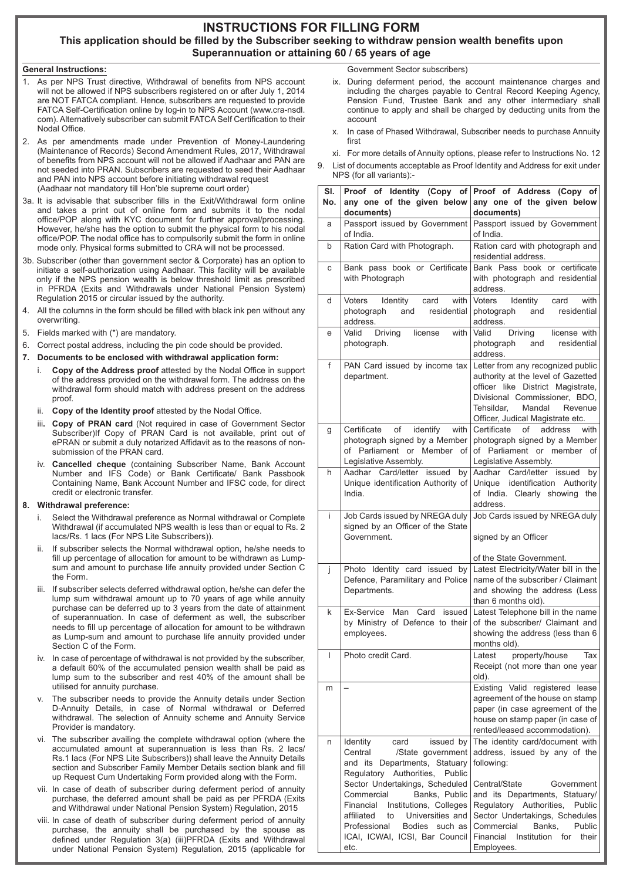# **INSTRUCTIONS FOR FILLING FORM This application should be filled by the Subscriber seeking to withdraw pension wealth benefits upon Superannuation or attaining 60 / 65 years of age**

# **General Instructions:**

- As per NPS Trust directive, Withdrawal of benefits from NPS account will not be allowed if NPS subscribers registered on or after July 1, 2014 are NOT FATCA compliant. Hence, subscribers are requested to provide FATCA Self-Certification online by log-in to NPS Account (www.cra-nsdl. com). Alternatively subscriber can submit FATCA Self Certification to their Nodal Office.
- 2. As per amendments made under Prevention of Money-Laundering (Maintenance of Records) Second Amendment Rules, 2017, Withdrawal of benefits from NPS account will not be allowed if Aadhaar and PAN are not seeded into PRAN. Subscribers are requested to seed their Aadhaar and PAN into NPS account before initiating withdrawal request (Aadhaar not mandatory till Hon'ble supreme court order)
- 3a. It is advisable that subscriber fills in the Exit/Withdrawal form online and takes a print out of online form and submits it to the nodal office/POP along with KYC document for further approval/processing. However, he/she has the option to submit the physical form to his nodal office/POP. The nodal office has to compulsorily submit the form in online mode only. Physical forms submitted to CRA will not be processed.
- 3b. Subscriber (other than government sector & Corporate) has an option to initiate a self-authorization using Aadhaar. This facility will be available only if the NPS pension wealth is below threshold limit as prescribed in PFRDA (Exits and Withdrawals under National Pension System) Regulation 2015 or circular issued by the authority.
- 4. All the columns in the form should be filled with black ink pen without any overwriting.
- 5. Fields marked with (\*) are mandatory.
- 6. Correct postal address, including the pin code should be provided.
- **7. Documents to be enclosed with withdrawal application form:**
	- i. **Copy of the Address proof** attested by the Nodal Office in support of the address provided on the withdrawal form. The address on the withdrawal form should match with address present on the address proof
	- ii. **Copy of the Identity proof** attested by the Nodal Office.
	- iii**. Copy of PRAN card** (Not required in case of Government Sector Subscriber)If Copy of PRAN Card is not available, print out of ePRAN or submit a duly notarized Affidavit as to the reasons of nonsubmission of the PRAN card.
	- iv. **Cancelled cheque** (containing Subscriber Name, Bank Account Number and IFS Code) or Bank Certificate/ Bank Passbook Containing Name, Bank Account Number and IFSC code, for direct credit or electronic transfer.

## **8. Withdrawal preference:**

- i. Select the Withdrawal preference as Normal withdrawal or Complete Withdrawal (if accumulated NPS wealth is less than or equal to Rs. 2 lacs/Rs. 1 lacs (For NPS Lite Subscribers)).
- If subscriber selects the Normal withdrawal option, he/she needs to fill up percentage of allocation for amount to be withdrawn as Lumpsum and amount to purchase life annuity provided under Section C the Form.
- iii. If subscriber selects deferred withdrawal option, he/she can defer the lump sum withdrawal amount up to 70 years of age while annuity purchase can be deferred up to 3 years from the date of attainment of superannuation. In case of deferment as well, the subscriber needs to fill up percentage of allocation for amount to be withdrawn as Lump-sum and amount to purchase life annuity provided under Section C of the Form.
- iv. In case of percentage of withdrawal is not provided by the subscriber, a default 60% of the accumulated pension wealth shall be paid as lump sum to the subscriber and rest 40% of the amount shall be utilised for annuity purchase.
- v. The subscriber needs to provide the Annuity details under Section D-Annuity Details, in case of Normal withdrawal or Deferred withdrawal. The selection of Annuity scheme and Annuity Service Provider is mandatory.
- vi. The subscriber availing the complete withdrawal option (where the accumulated amount at superannuation is less than Rs. 2 lacs/ Rs.1 lacs (For NPS Lite Subscribers)) shall leave the Annuity Details section and Subscriber Family Member Details section blank and fill up Request Cum Undertaking Form provided along with the Form.
- vii. In case of death of subscriber during deferment period of annuity purchase, the deferred amount shall be paid as per PFRDA (Exits and Withdrawal under National Pension System) Regulation, 2015
- viii. In case of death of subscriber during deferment period of annuity purchase, the annuity shall be purchased by the spouse as defined under Regulation 3(a) (iii)PFRDA (Exits and Withdrawal under National Pension System) Regulation, 2015 (applicable for

Government Sector subscribers)

- ix. During deferment period, the account maintenance charges and including the charges payable to Central Record Keeping Agency, Pension Fund, Trustee Bank and any other intermediary shall continue to apply and shall be charged by deducting units from the account
- x. In case of Phased Withdrawal, Subscriber needs to purchase Annuity first
- xi. For more details of Annuity options, please refer to Instructions No. 12
- 9. List of documents acceptable as Proof Identity and Address for exit under NPS (for all variants):-

| SI. | Proof of Identity (Copy of                                             | Proof of Address (Copy of                                                     |  |  |
|-----|------------------------------------------------------------------------|-------------------------------------------------------------------------------|--|--|
| No. | any one of the given below<br>documents)                               | any one of the given below<br>documents)                                      |  |  |
| a   | Passport issued by Government<br>of India.                             | Passport issued by Government<br>of India.                                    |  |  |
| b   | Ration Card with Photograph.                                           | Ration card with photograph and<br>residential address.                       |  |  |
| C   | Bank pass book or Certificate                                          | Bank Pass book or certificate                                                 |  |  |
|     | with Photograph                                                        | with photograph and residential<br>address.                                   |  |  |
| d   | with<br>Voters<br>Identity<br>card<br>residential<br>photograph<br>and | <b>Voters</b><br>Identity<br>card<br>with<br>residential<br>photograph<br>and |  |  |
|     | address.                                                               | address.                                                                      |  |  |
| е   | Valid<br>Driving<br>license<br>with<br>photograph.                     | Valid<br>Driving<br>license with<br>residential<br>photograph<br>and          |  |  |
|     |                                                                        | address.                                                                      |  |  |
| f   | PAN Card issued by income tax                                          | Letter from any recognized public                                             |  |  |
|     | department.                                                            | authority at the level of Gazetted<br>officer like District Magistrate,       |  |  |
|     |                                                                        | Divisional Commissioner, BDO,                                                 |  |  |
|     |                                                                        | Tehsildar,<br>Mandal<br>Revenue                                               |  |  |
| g   | Certificate<br>of<br>identify with                                     | Officer, Judical Magistrate etc.<br>Certificate<br>address<br>of<br>with      |  |  |
|     | photograph signed by a Member                                          | photograph signed by a Member                                                 |  |  |
|     | of Parliament or Member of                                             | of Parliament or member of                                                    |  |  |
| h   | Legislative Assembly.<br>Aadhar Card/letter issued<br>by               | Legislative Assembly.<br>Aadhar Card/letter issued<br>by                      |  |  |
|     | Unique identification Authority of                                     | Unique identification<br>Authority                                            |  |  |
|     | India.                                                                 | of India. Clearly showing the<br>address.                                     |  |  |
| İ.  | Job Cards issued by NREGA duly                                         | Job Cards issued by NREGA duly                                                |  |  |
|     | signed by an Officer of the State                                      |                                                                               |  |  |
|     | Government.                                                            | signed by an Officer                                                          |  |  |
|     |                                                                        | of the State Government.                                                      |  |  |
| j   | Photo Identity card issued by<br>Defence, Paramilitary and Police      | Latest Electricity/Water bill in the<br>name of the subscriber / Claimant     |  |  |
|     | Departments.                                                           | and showing the address (Less                                                 |  |  |
|     |                                                                        | than 6 months old).                                                           |  |  |
| k   | Ex-Service<br>Man<br>Card<br>issued<br>by Ministry of Defence to their | Latest Telephone bill in the name<br>of the subscriber/ Claimant and          |  |  |
|     | employees.                                                             | showing the address (less than 6                                              |  |  |
|     |                                                                        | months old).                                                                  |  |  |
|     | Photo credit Card.                                                     | Latest property/house<br>Tax<br>Receipt (not more than one year               |  |  |
|     |                                                                        | old).                                                                         |  |  |
| m   |                                                                        | Existing Valid registered lease<br>agreement of the house on stamp            |  |  |
|     |                                                                        | paper (in case agreement of the                                               |  |  |
|     |                                                                        | house on stamp paper (in case of                                              |  |  |
| n   | issued by<br>card                                                      | rented/leased accommodation).<br>The identity card/document with              |  |  |
|     | Identity<br>Central<br>/State government                               | address, issued by any of the                                                 |  |  |
|     | and its Departments, Statuary                                          | following:                                                                    |  |  |
|     | Regulatory Authorities,<br>Public<br>Sector Undertakings, Scheduled    | Central/State<br>Government                                                   |  |  |
|     | Commercial<br>Banks, Public                                            | and its Departments, Statuary/                                                |  |  |
|     | Financial Institutions, Colleges                                       | Regulatory Authorities,<br>Public                                             |  |  |
|     | affiliated<br>Universities and<br>to<br>Professional<br>Bodies such as | Sector Undertakings, Schedules<br>Banks,<br>Commercial<br>Public              |  |  |
|     | ICAI, ICWAI, ICSI, Bar Council                                         | Financial<br>Institution for their                                            |  |  |
|     | etc.                                                                   | Employees.                                                                    |  |  |